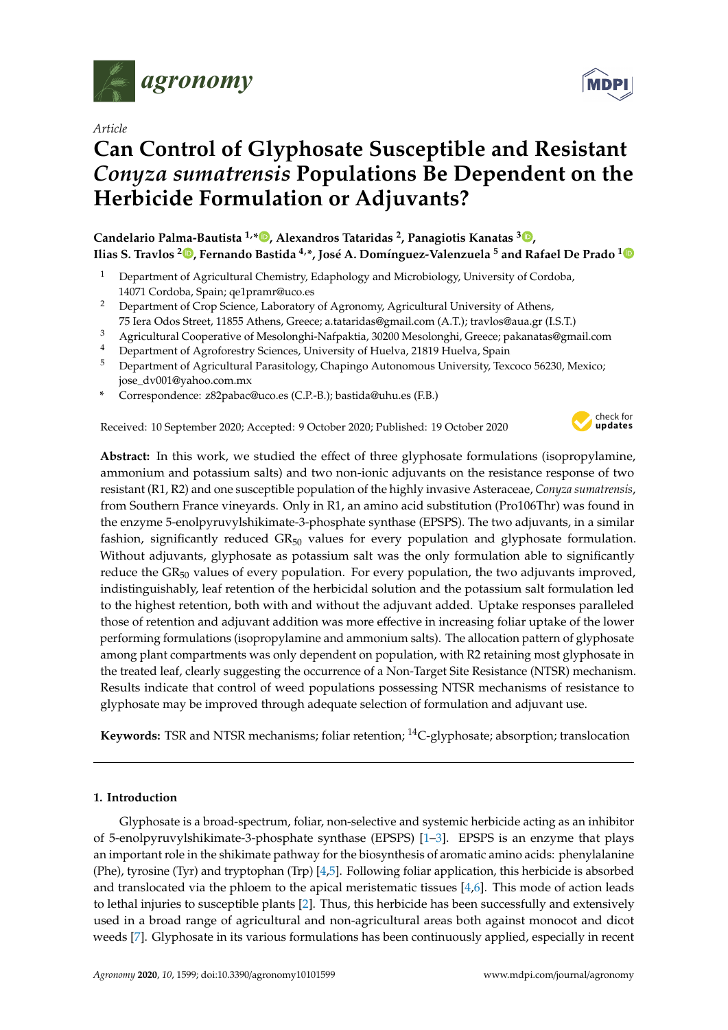

*Article*

# **Can Control of Glyphosate Susceptible and Resistant** *Conyza sumatrensis* **Populations Be Dependent on the Herbicide Formulation or Adjuvants?**

**Candelario Palma-Bautista 1,\* [,](https://orcid.org/0000-0001-8302-4902) Alexandros Tataridas <sup>2</sup> , Panagiotis Kanatas <sup>3</sup> [,](https://orcid.org/0000-0001-7248-3978) Ilias S. Travlos <sup>2</sup> [,](https://orcid.org/0000-0002-7713-0204) Fernando Bastida 4,\*, José A. Domínguez-Valenzuela <sup>5</sup> and Rafael De Prado [1](https://orcid.org/0000-0002-1478-653X)**

- <sup>1</sup> Department of Agricultural Chemistry, Edaphology and Microbiology, University of Cordoba, 14071 Cordoba, Spain; qe1pramr@uco.es
- <sup>2</sup> Department of Crop Science, Laboratory of Agronomy, Agricultural University of Athens, 75 Iera Odos Street, 11855 Athens, Greece; a.tataridas@gmail.com (A.T.); travlos@aua.gr (I.S.T.)
- <sup>3</sup> Agricultural Cooperative of Mesolonghi-Nafpaktia, 30200 Mesolonghi, Greece; pakanatas@gmail.com
- Department of Agroforestry Sciences, University of Huelva, 21819 Huelva, Spain
- <sup>5</sup> Department of Agricultural Parasitology, Chapingo Autonomous University, Texcoco 56230, Mexico; jose\_dv001@yahoo.com.mx
- **\*** Correspondence: z82pabac@uco.es (C.P.-B.); bastida@uhu.es (F.B.)

Received: 10 September 2020; Accepted: 9 October 2020; Published: 19 October 2020



**Abstract:** In this work, we studied the effect of three glyphosate formulations (isopropylamine, ammonium and potassium salts) and two non-ionic adjuvants on the resistance response of two resistant (R1, R2) and one susceptible population of the highly invasive Asteraceae, *Conyza sumatrensis*, from Southern France vineyards. Only in R1, an amino acid substitution (Pro106Thr) was found in the enzyme 5-enolpyruvylshikimate-3-phosphate synthase (EPSPS). The two adjuvants, in a similar fashion, significantly reduced GR<sub>50</sub> values for every population and glyphosate formulation. Without adjuvants, glyphosate as potassium salt was the only formulation able to significantly reduce the  $GR<sub>50</sub>$  values of every population. For every population, the two adjuvants improved, indistinguishably, leaf retention of the herbicidal solution and the potassium salt formulation led to the highest retention, both with and without the adjuvant added. Uptake responses paralleled those of retention and adjuvant addition was more effective in increasing foliar uptake of the lower performing formulations (isopropylamine and ammonium salts). The allocation pattern of glyphosate among plant compartments was only dependent on population, with R2 retaining most glyphosate in the treated leaf, clearly suggesting the occurrence of a Non-Target Site Resistance (NTSR) mechanism. Results indicate that control of weed populations possessing NTSR mechanisms of resistance to glyphosate may be improved through adequate selection of formulation and adjuvant use.

**Keywords:** TSR and NTSR mechanisms; foliar retention; <sup>14</sup>C-glyphosate; absorption; translocation

# **1. Introduction**

Glyphosate is a broad-spectrum, foliar, non-selective and systemic herbicide acting as an inhibitor of 5-enolpyruvylshikimate-3-phosphate synthase (EPSPS) [\[1–](#page-10-0)[3\]](#page-10-1). EPSPS is an enzyme that plays an important role in the shikimate pathway for the biosynthesis of aromatic amino acids: phenylalanine (Phe), tyrosine (Tyr) and tryptophan (Trp) [\[4](#page-10-2)[,5\]](#page-10-3). Following foliar application, this herbicide is absorbed and translocated via the phloem to the apical meristematic tissues  $[4,6]$  $[4,6]$ . This mode of action leads to lethal injuries to susceptible plants [\[2\]](#page-10-5). Thus, this herbicide has been successfully and extensively used in a broad range of agricultural and non-agricultural areas both against monocot and dicot weeds [\[7\]](#page-10-6). Glyphosate in its various formulations has been continuously applied, especially in recent

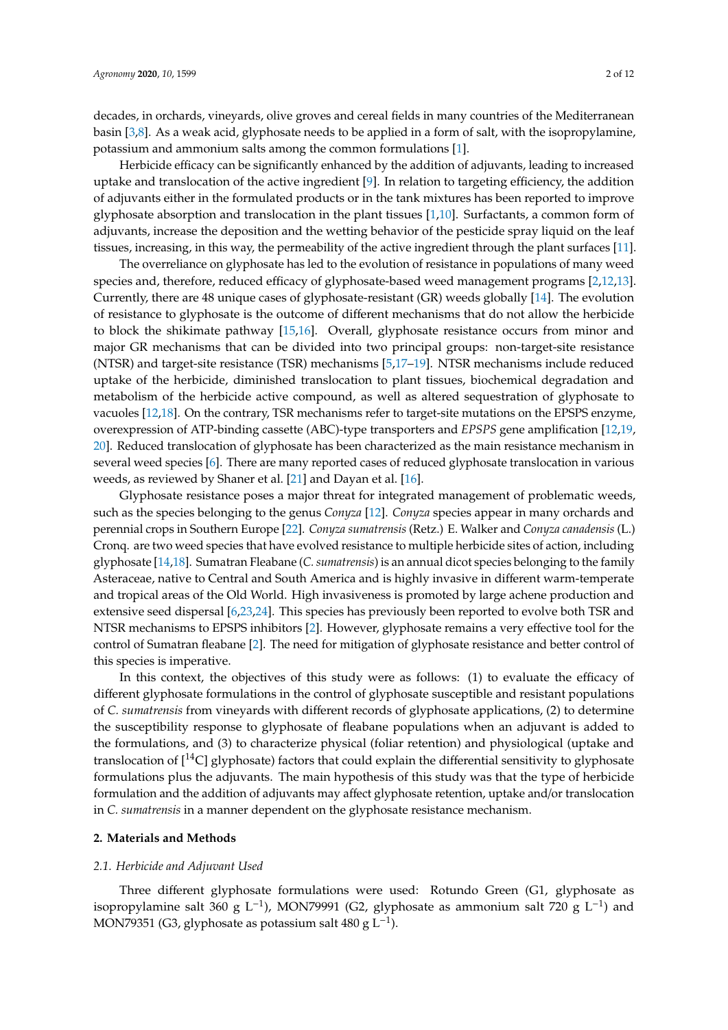decades, in orchards, vineyards, olive groves and cereal fields in many countries of the Mediterranean basin [\[3,](#page-10-1)[8\]](#page-10-7). As a weak acid, glyphosate needs to be applied in a form of salt, with the isopropylamine, potassium and ammonium salts among the common formulations [\[1\]](#page-10-0).

Herbicide efficacy can be significantly enhanced by the addition of adjuvants, leading to increased uptake and translocation of the active ingredient [\[9\]](#page-10-8). In relation to targeting efficiency, the addition of adjuvants either in the formulated products or in the tank mixtures has been reported to improve glyphosate absorption and translocation in the plant tissues [\[1](#page-10-0)[,10\]](#page-10-9). Surfactants, a common form of adjuvants, increase the deposition and the wetting behavior of the pesticide spray liquid on the leaf tissues, increasing, in this way, the permeability of the active ingredient through the plant surfaces [\[11\]](#page-10-10).

The overreliance on glyphosate has led to the evolution of resistance in populations of many weed species and, therefore, reduced efficacy of glyphosate-based weed management programs [\[2,](#page-10-5)[12,](#page-10-11)[13\]](#page-10-12). Currently, there are 48 unique cases of glyphosate-resistant (GR) weeds globally [\[14\]](#page-10-13). The evolution of resistance to glyphosate is the outcome of different mechanisms that do not allow the herbicide to block the shikimate pathway [\[15,](#page-10-14)[16\]](#page-10-15). Overall, glyphosate resistance occurs from minor and major GR mechanisms that can be divided into two principal groups: non-target-site resistance (NTSR) and target-site resistance (TSR) mechanisms [\[5](#page-10-3)[,17](#page-10-16)[–19\]](#page-10-17). NTSR mechanisms include reduced uptake of the herbicide, diminished translocation to plant tissues, biochemical degradation and metabolism of the herbicide active compound, as well as altered sequestration of glyphosate to vacuoles [\[12](#page-10-11)[,18\]](#page-10-18). On the contrary, TSR mechanisms refer to target-site mutations on the EPSPS enzyme, overexpression of ATP-binding cassette (ABC)-type transporters and *EPSPS* gene amplification [\[12,](#page-10-11)[19,](#page-10-17) [20\]](#page-11-0). Reduced translocation of glyphosate has been characterized as the main resistance mechanism in several weed species [\[6\]](#page-10-4). There are many reported cases of reduced glyphosate translocation in various weeds, as reviewed by Shaner et al. [\[21\]](#page-11-1) and Dayan et al. [\[16\]](#page-10-15).

Glyphosate resistance poses a major threat for integrated management of problematic weeds, such as the species belonging to the genus *Conyza* [\[12\]](#page-10-11). *Conyza* species appear in many orchards and perennial crops in Southern Europe [\[22\]](#page-11-2). *Conyza sumatrensis* (Retz.) E. Walker and *Conyza canadensis* (L.) Cronq. are two weed species that have evolved resistance to multiple herbicide sites of action, including glyphosate [\[14](#page-10-13)[,18\]](#page-10-18). Sumatran Fleabane (*C. sumatrensis*) is an annual dicot species belonging to the family Asteraceae, native to Central and South America and is highly invasive in different warm-temperate and tropical areas of the Old World. High invasiveness is promoted by large achene production and extensive seed dispersal [\[6,](#page-10-4)[23](#page-11-3)[,24\]](#page-11-4). This species has previously been reported to evolve both TSR and NTSR mechanisms to EPSPS inhibitors [\[2\]](#page-10-5). However, glyphosate remains a very effective tool for the control of Sumatran fleabane [\[2\]](#page-10-5). The need for mitigation of glyphosate resistance and better control of this species is imperative.

In this context, the objectives of this study were as follows: (1) to evaluate the efficacy of different glyphosate formulations in the control of glyphosate susceptible and resistant populations of *C. sumatrensis* from vineyards with different records of glyphosate applications, (2) to determine the susceptibility response to glyphosate of fleabane populations when an adjuvant is added to the formulations, and (3) to characterize physical (foliar retention) and physiological (uptake and translocation of [14C] glyphosate) factors that could explain the differential sensitivity to glyphosate formulations plus the adjuvants. The main hypothesis of this study was that the type of herbicide formulation and the addition of adjuvants may affect glyphosate retention, uptake and/or translocation in *C. sumatrensis* in a manner dependent on the glyphosate resistance mechanism.

# **2. Materials and Methods**

# *2.1. Herbicide and Adjuvant Used*

Three different glyphosate formulations were used: Rotundo Green (G1, glyphosate as isopropylamine salt 360 g L<sup>-1</sup>), MON79991 (G2, glyphosate as ammonium salt 720 g L<sup>-1</sup>) and MON79351 (G3, glyphosate as potassium salt 480 g  $L^{-1}$ ).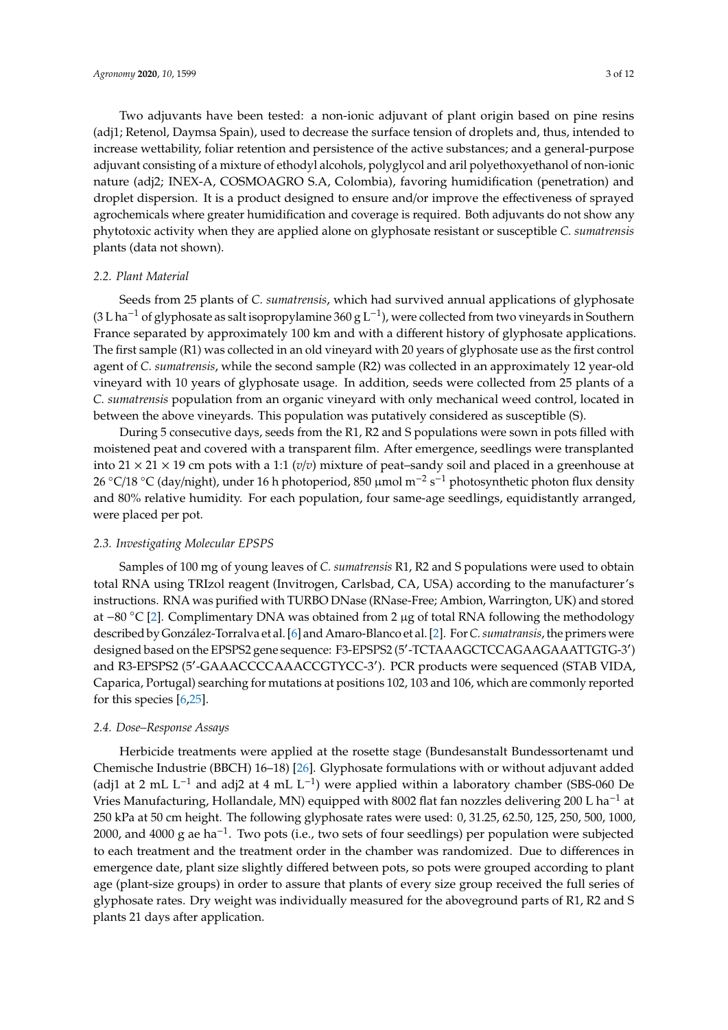Two adjuvants have been tested: a non-ionic adjuvant of plant origin based on pine resins (adj1; Retenol, Daymsa Spain), used to decrease the surface tension of droplets and, thus, intended to increase wettability, foliar retention and persistence of the active substances; and a general-purpose adjuvant consisting of a mixture of ethodyl alcohols, polyglycol and aril polyethoxyethanol of non-ionic nature (adj2; INEX-A, COSMOAGRO S.A, Colombia), favoring humidification (penetration) and droplet dispersion. It is a product designed to ensure and/or improve the effectiveness of sprayed agrochemicals where greater humidification and coverage is required. Both adjuvants do not show any phytotoxic activity when they are applied alone on glyphosate resistant or susceptible *C. sumatrensis* plants (data not shown).

# *2.2. Plant Material*

Seeds from 25 plants of *C. sumatrensis*, which had survived annual applications of glyphosate (3 L ha−<sup>1</sup> of glyphosate as salt isopropylamine 360 g L−<sup>1</sup> ), were collected from two vineyards in Southern France separated by approximately 100 km and with a different history of glyphosate applications. The first sample (R1) was collected in an old vineyard with 20 years of glyphosate use as the first control agent of *C. sumatrensis*, while the second sample (R2) was collected in an approximately 12 year-old vineyard with 10 years of glyphosate usage. In addition, seeds were collected from 25 plants of a *C. sumatrensis* population from an organic vineyard with only mechanical weed control, located in between the above vineyards. This population was putatively considered as susceptible (S).

During 5 consecutive days, seeds from the R1, R2 and S populations were sown in pots filled with moistened peat and covered with a transparent film. After emergence, seedlings were transplanted into 21  $\times$  21  $\times$  19 cm pots with a 1:1 (*v*/*v*) mixture of peat–sandy soil and placed in a greenhouse at 26 °C/18 °C (day/night), under 16 h photoperiod, 850 μmol m<sup>-2</sup> s<sup>-1</sup> photosynthetic photon flux density and 80% relative humidity. For each population, four same-age seedlings, equidistantly arranged, were placed per pot.

# *2.3. Investigating Molecular EPSPS*

Samples of 100 mg of young leaves of *C. sumatrensis* R1, R2 and S populations were used to obtain total RNA using TRIzol reagent (Invitrogen, Carlsbad, CA, USA) according to the manufacturer's instructions. RNA was purified with TURBO DNase (RNase-Free; Ambion, Warrington, UK) and stored at −80 ◦C [\[2\]](#page-10-5). Complimentary DNA was obtained from 2 µg of total RNA following the methodology described by González-Torralva et al. [\[6\]](#page-10-4) and Amaro-Blanco et al. [\[2\]](#page-10-5). For*C. sumatransis*, the primers were designed based on the EPSPS2 gene sequence: F3-EPSPS2 (5'-TCTAAAGCTCCAGAAGAAATTGTG-3') and R3-EPSPS2 (5'-GAAACCCCAAACCGTYCC-3'). PCR products were sequenced (STAB VIDA, Caparica, Portugal) searching for mutations at positions 102, 103 and 106, which are commonly reported for this species [\[6](#page-10-4)[,25\]](#page-11-5).

# *2.4. Dose–Response Assays*

Herbicide treatments were applied at the rosette stage (Bundesanstalt Bundessortenamt und Chemische Industrie (BBCH) 16–18) [\[26\]](#page-11-6). Glyphosate formulations with or without adjuvant added (adj1 at 2 mL L<sup>-1</sup> and adj2 at 4 mL L<sup>-1</sup>) were applied within a laboratory chamber (SBS-060 De Vries Manufacturing, Hollandale, MN) equipped with 8002 flat fan nozzles delivering 200 L ha−<sup>1</sup> at 250 kPa at 50 cm height. The following glyphosate rates were used: 0, 31.25, 62.50, 125, 250, 500, 1000, 2000, and 4000 g ae ha−<sup>1</sup> . Two pots (i.e., two sets of four seedlings) per population were subjected to each treatment and the treatment order in the chamber was randomized. Due to differences in emergence date, plant size slightly differed between pots, so pots were grouped according to plant age (plant-size groups) in order to assure that plants of every size group received the full series of glyphosate rates. Dry weight was individually measured for the aboveground parts of R1, R2 and S plants 21 days after application.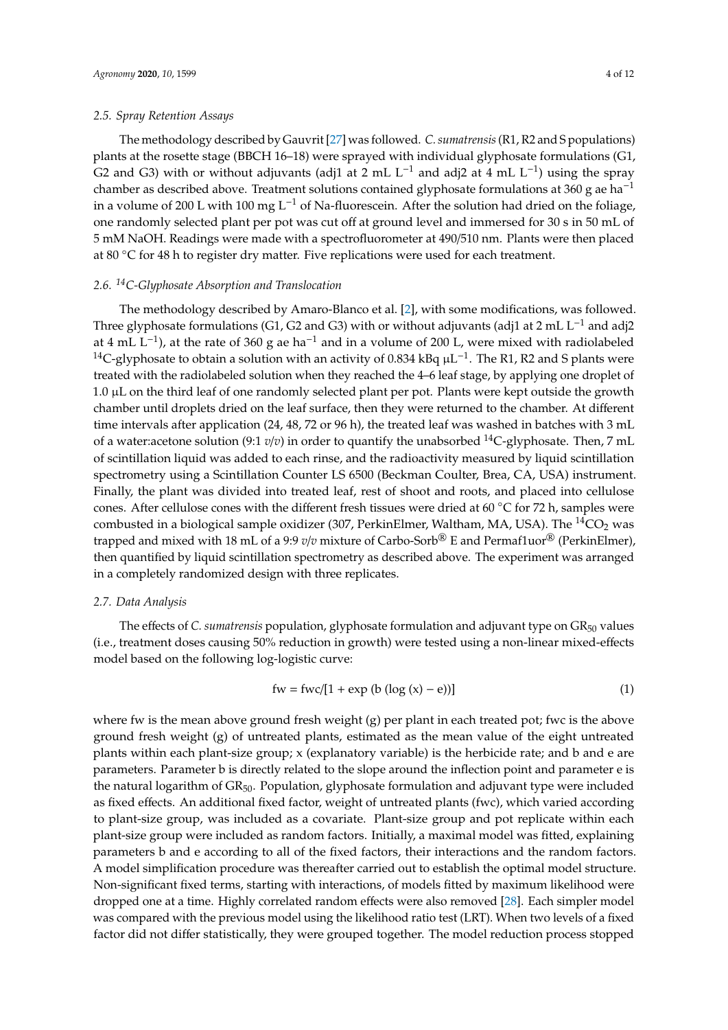# *2.5. Spray Retention Assays*

The methodology described by Gauvrit [\[27\]](#page-11-7) was followed. *C. sumatrensis*(R1, R2 and S populations) plants at the rosette stage (BBCH 16–18) were sprayed with individual glyphosate formulations (G1, G2 and G3) with or without adjuvants (adj1 at 2 mL L<sup>-1</sup> and adj2 at 4 mL L<sup>-1</sup>) using the spray chamber as described above. Treatment solutions contained glyphosate formulations at 360 g ae ha<sup>-1</sup> in a volume of 200 L with 100 mg L<sup>-1</sup> of Na-fluorescein. After the solution had dried on the foliage, one randomly selected plant per pot was cut off at ground level and immersed for 30 s in 50 mL of 5 mM NaOH. Readings were made with a spectrofluorometer at 490/510 nm. Plants were then placed at 80 ◦C for 48 h to register dry matter. Five replications were used for each treatment.

# *2.6. <sup>14</sup>C-Glyphosate Absorption and Translocation*

The methodology described by Amaro-Blanco et al. [\[2\]](#page-10-5), with some modifications, was followed. Three glyphosate formulations (G1, G2 and G3) with or without adjuvants (adj1 at 2 mL L<sup>-1</sup> and adj2 at 4 mL L−<sup>1</sup> ), at the rate of 360 g ae ha−<sup>1</sup> and in a volume of 200 L, were mixed with radiolabeled <sup>14</sup>C-glyphosate to obtain a solution with an activity of 0.834 kBq  $\mu$ L<sup>-1</sup>. The R1, R2 and S plants were treated with the radiolabeled solution when they reached the 4–6 leaf stage, by applying one droplet of 1.0 µL on the third leaf of one randomly selected plant per pot. Plants were kept outside the growth chamber until droplets dried on the leaf surface, then they were returned to the chamber. At different time intervals after application (24, 48, 72 or 96 h), the treated leaf was washed in batches with 3 mL of a water:acetone solution (9:1  $v/v$ ) in order to quantify the unabsorbed <sup>14</sup>C-glyphosate. Then, 7 mL of scintillation liquid was added to each rinse, and the radioactivity measured by liquid scintillation spectrometry using a Scintillation Counter LS 6500 (Beckman Coulter, Brea, CA, USA) instrument. Finally, the plant was divided into treated leaf, rest of shoot and roots, and placed into cellulose cones. After cellulose cones with the different fresh tissues were dried at 60 ◦C for 72 h, samples were combusted in a biological sample oxidizer (307, PerkinElmer, Waltham, MA, USA). The  ${}^{14}CO_2$  was trapped and mixed with 18 mL of a 9:9 *v*/*v* mixture of Carbo-Sorb® E and Permaf1uor® (PerkinElmer), then quantified by liquid scintillation spectrometry as described above. The experiment was arranged in a completely randomized design with three replicates.

#### *2.7. Data Analysis*

The effects of *C. sumatrensis* population, glyphosate formulation and adjuvant type on GR<sub>50</sub> values (i.e., treatment doses causing 50% reduction in growth) were tested using a non-linear mixed-effects model based on the following log-logistic curve:

$$
fw = \frac{fwc}{1 + \exp(b (\log(x) - e))}
$$
 (1)

where fw is the mean above ground fresh weight (g) per plant in each treated pot; fwc is the above ground fresh weight (g) of untreated plants, estimated as the mean value of the eight untreated plants within each plant-size group; x (explanatory variable) is the herbicide rate; and b and e are parameters. Parameter b is directly related to the slope around the inflection point and parameter e is the natural logarithm of GR<sub>50</sub>. Population, glyphosate formulation and adjuvant type were included as fixed effects. An additional fixed factor, weight of untreated plants (fwc), which varied according to plant-size group, was included as a covariate. Plant-size group and pot replicate within each plant-size group were included as random factors. Initially, a maximal model was fitted, explaining parameters b and e according to all of the fixed factors, their interactions and the random factors. A model simplification procedure was thereafter carried out to establish the optimal model structure. Non-significant fixed terms, starting with interactions, of models fitted by maximum likelihood were dropped one at a time. Highly correlated random effects were also removed [\[28\]](#page-11-8). Each simpler model was compared with the previous model using the likelihood ratio test (LRT). When two levels of a fixed factor did not differ statistically, they were grouped together. The model reduction process stopped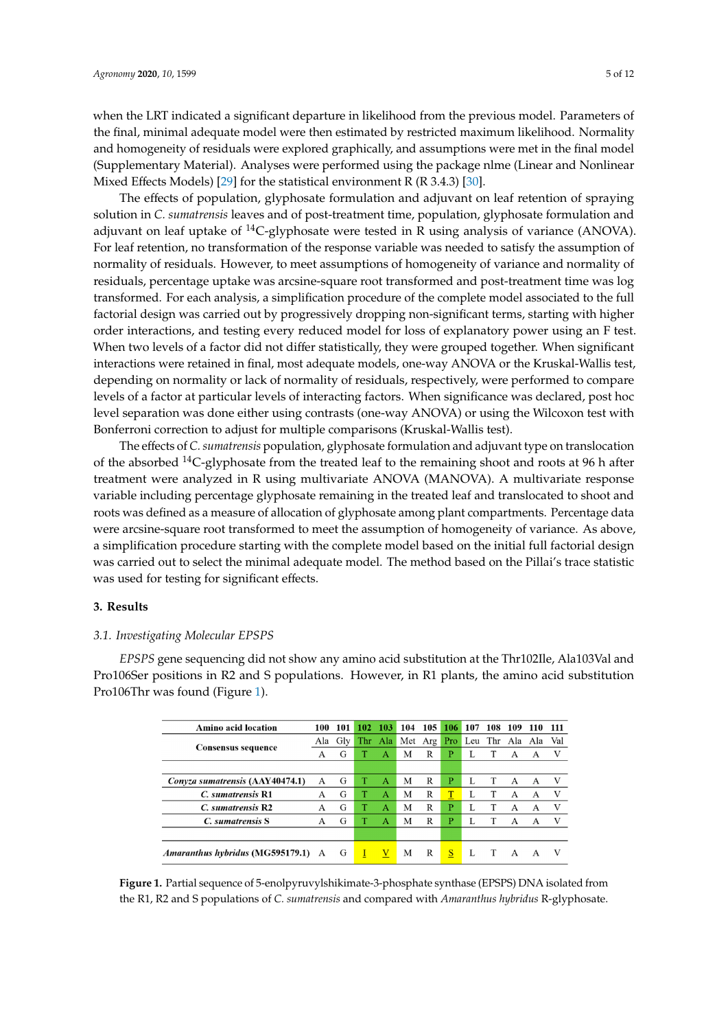when the LRT indicated a significant departure in likelihood from the previous model. Parameters of the final, minimal adequate model were then estimated by restricted maximum likelihood. Normality and homogeneity of residuals were explored graphically, and assumptions were met in the final model (Supplementary Material). Analyses were performed using the package nlme (Linear and Nonlinear Mixed Effects Models) [\[29\]](#page-11-9) for the statistical environment R (R 3.4.3) [\[30\]](#page-11-10). (R 3.4.3) [30].

The effects of population, glyphosate formulation and adjuvant on leaf retention of spraying The effects of population, glyphosate formulation and adjuvant on leaf retention of spraying solution in *C. sumatrensis* leaves and of post-treatment time, population, glyphosate formulation and solution in *C. sumatrensis* leaves and of post-treatment time, population, glyphosate formulation and adjuvant on leaf uptake of <sup>14</sup>C-glyphosate were tested in R using analysis of variance (ANOVA). For leaf retention, no transformation of the response variable was needed to satisfy the assumption of normality of residuals. However, to meet assumptions of homogeneity of variance and normality of normality of residuals. However, to meet assumptions of homogeneity of variance and normality of residuals, percentage uptake was arcsine-square root transformed and post-treatment time was log residuals, percentage uptake was arcsine-square root transformed and post-treatment time was log transformed. For each analysis, a simplification procedure of the complete model associated to the full transformed. For each analysis, a simplification procedure of the complete model associated to the factorial design was carried out by progressively dropping non-significant terms, starting with higher order interactions, and testing every reduced model for loss of explanatory power using an F test. When two levels of a factor did not differ statistically, they were grouped together. When significant interactions were retained in final, most adequate models, one-way ANOVA or the Kruskal-Wallis test, depending on normality or lack of normality of residuals, respectively, were performed to compare levels of a factor at particular levels of interacting factors. When significance was declared, post hoc level separation was done either using contrasts (one-way ANOVA) or using the Wilcoxon test with Bonferroni correction to adjust for multiple comparisons (Kruskal-Wallis test).

The effects of *C. sumatrensis* population, glyphosate formulation and adjuvant type on translocation The effects of *C. sumatrensis* population, glyphosate formulation and adjuvant type on of the absorbed  $^{14}$ C-glyphosate from the treated leaf to the remaining shoot and roots at 96 h after treatment were analyzed in R using multivariate ANOVA (MANOVA). A multivariate response variable including percentage glyphosate remaining in the treated leaf and translocated to shoot and roots was defined as a measure of allocation of glyphosate among plant compartments. Percentage data were arcsine-square root transformed to meet the assumption of homogeneity of variance. As above, a simplification procedure starting with the complete model based on the initial full factorial design was carried out to select the minimal adequate model. The method based on the Pillai's trace statistic was used for testing for significant effects.

# **3. Results 3. Results**

# *3.1. Investigating Molecular EPSPS 3.1. Investigating Molecular EPSPS*

<span id="page-4-0"></span>*EPSPS* gene sequencing did not show any amino acid substitution at the Thr102Ile, Ala103Val and *EPSPS* gene sequencing did not show any amino acid substitution at the Thr102Ile, Ala103Val Pro106Ser positions in R2 and S populations. However, in R1 plants, the amino acid substitution Pro106Thr was found (Figure [1\)](#page-4-0). Pro106Thr was found (Figure 1).

| <b>Amino acid location</b>                | 100 | 101     | 102 | 103          | 104     | 105 | 106               | 107 | 108 | 109          | 110                 | 111 |
|-------------------------------------------|-----|---------|-----|--------------|---------|-----|-------------------|-----|-----|--------------|---------------------|-----|
| Consensus sequence                        |     | Ala Gly |     | Thr Ala      | Met Arg |     | Pro               |     |     |              | Leu Thr Ala Ala Val |     |
|                                           | А   | G       |     | А            | М       | R   | P                 |     |     | А            | А                   | V   |
|                                           |     |         |     |              |         |     |                   |     |     |              |                     |     |
| Conyza sumatrensis (AAY40474.1)           | A   | G       | т   | А            | М       | R   | Р                 | L   | Т   | A            | A                   | V   |
| C. sumatrensis R1                         | А   | G       |     | А            | М       | R   | T                 |     |     | A            | А                   | V   |
| C. sumatrensis R2                         | А   | G       |     | A            | М       | R   | P                 |     |     | А            | А                   | V   |
| C. sumatrensis S.                         | А   | G       |     | A            | М       | R   | P                 |     |     | А            | А                   | V   |
|                                           |     |         |     |              |         |     |                   |     |     |              |                     |     |
| <i>Amaranthus hybridus</i> (MG595179.1) A |     | G       | Ι   | $\mathbf{V}$ | М       | R   | $S_{\frac{1}{2}}$ |     | - T | $\mathbf{A}$ | A                   |     |

**Figure 1.** Partial sequence of 5-enolpyruvylshikimate-3-phosphate synthase (EPSPS) DNA isolated from **Figure 1.** Partial sequence of 5-enolpyruvylshikimate-3-phosphate synthase (EPSPS) DNA isolated from the R1, R2 and S populations of C. sumatrensis and compared with Amaranthus hybridus R-glyphosate.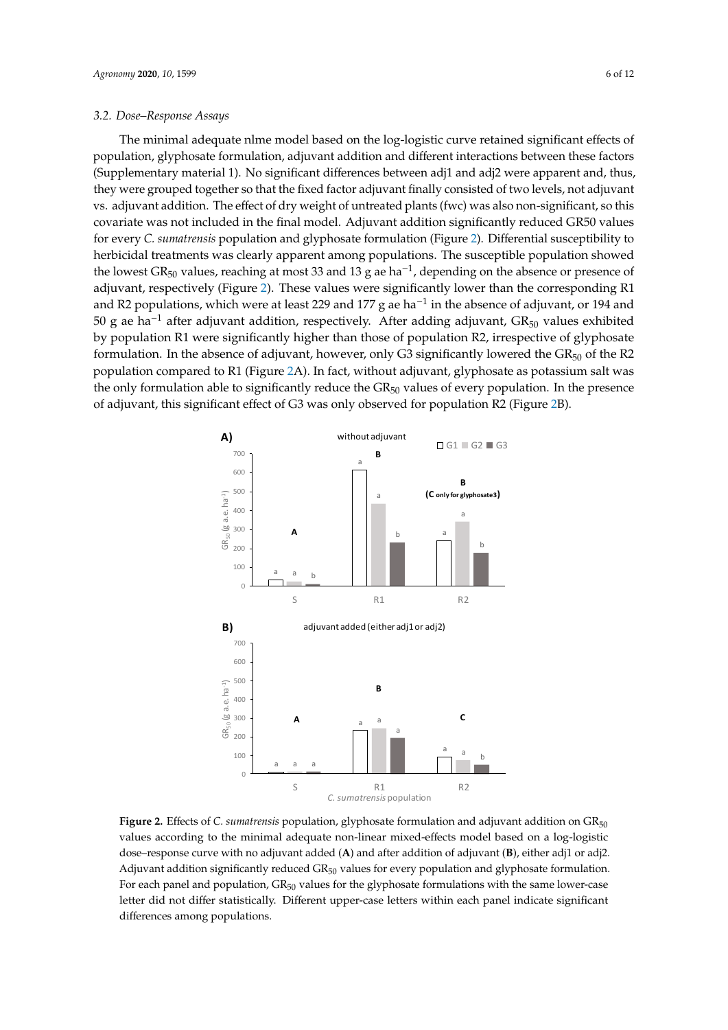The minimal adequate nlme model based on the log-logistic curve retained significant effects of population, glyphosate formulation, adjuvant addition and different interactions between these factors (Supplementary material 1). No significant differences between adj1 and adj2 were apparent and, thus, they were grouped together so that the fixed factor adjuvant finally consisted of two levels, not adjuvant vs. adjuvant addition. The effect of dry weight of untreated plants (fwc) was also non-significant, so this covariate was not included in the final model. Adjuvant addition significantly reduced GR50 values for every *C. sumatrensis* population and glyphosate formulation (Figure [2\)](#page-5-0). Differential susceptibility to herbicidal treatments was clearly apparent among populations. The susceptible population showed the lowest GR<sub>50</sub> values, reaching at most 33 and 13 g ae ha<sup>-1</sup>, depending on the absence or presence of adjuvant, respectively (Figure [2\)](#page-5-0). These values were significantly lower than the corresponding R1 and R2 populations, which were at least 229 and 177 g ae ha<sup>-1</sup> in the absence of adjuvant, or 194 and 50 g ae ha<sup>-1</sup> after adjuvant addition, respectively. After adding adjuvant,  $GR_{50}$  values exhibited by population R1 were significantly higher than those of population R2, irrespective of glyphosate formulation. In the absence of adjuvant, however, only G3 significantly lowered the  ${\rm GR}_{50}$  of the R2 population compared to R1 (Figure [2A](#page-5-0)). In fact, without adjuvant, glyphosate as potassium salt was the only formulation able to significantly reduce the GR<sub>50</sub> values of every population. In the presence of adjuvant, this significant effect of G3 was only observed for population R2 (Figure [2B](#page-5-0)). for population R2 (Figure 2B).  $\frac{1}{2}$ . No significant 1110 enteriors  $\frac{1}{2}$ . No significant differences between adjunctions and adjunctions appearent  $\sigma_{\text{N}}$  values, reaching at most so and to g ac has suspending on the absence of and activities absence of a senator of a strategie of a function  $\frac{1}{2}$  and  $\frac{1}{2}$ midiation add to significantly reduce the  $\sigma_{\text{N50}}$  values of every population. In th

<span id="page-5-0"></span>

Figure 2. Effects of *C. sumatrensis* population, glyphosate formulation and adjuvant addition on GR<sub>50</sub> values according to the minimal adequate non-linear mixed-effects model based on a log-logistic dose–response curve with no adjuvant added (**A**) and after addition of adjuvant (**B**), either adj1 or adj2. Adjuvant addition significantly reduced  $GR_{50}$  values for every population and glyphosate formulation. For each panel and population,  $GR_{50}$  values for the glyphosate formulations with the same lower-case letter did not differ statistically. Different upper-case letters within each panel indicate significant differences among populations.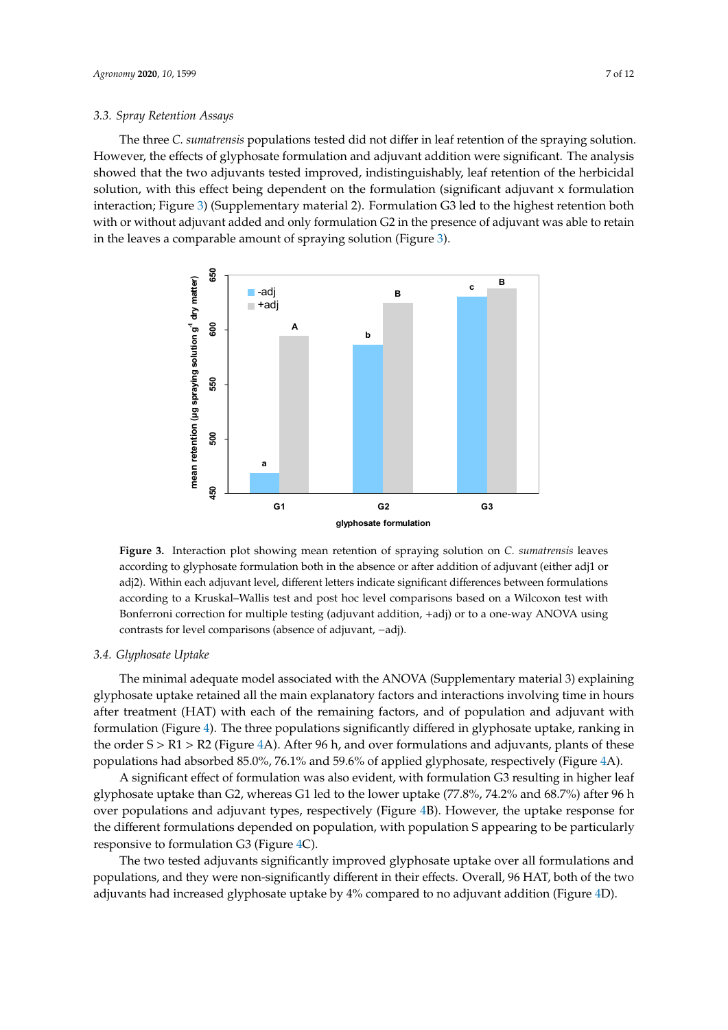The three *C. sumatrensis* populations tested did not differ in leaf retention of the spraying solution. The three *C. sumatrensis* populations tested did not differ in leaf retention of the spraying However, the effects of glyphosate formulation and adjuvant addition were significant. The analysis showed that the two adjuvants tested improved, indistinguishably, leaf retention of the herbicidal solution, with this effect being dependent on the formulation (significant adjuvant x formulation interaction; Figure [3\)](#page-6-0) (Supplementary material 2). Formulation G3 led to the highest retention both with or without adjuvant added and only formulation G2 in the presence of adjuvant was able to retain in the leaves a comparable amount of spraying solution (Figure [3\)](#page-6-0).

<span id="page-6-0"></span>

**Figure 3.** Interaction plot showing mean retention of spraying solution on *C. sumatrensis* leaves **Figure 3.** Interaction plot showing mean retention of spraying solution on *C. sumatrensis* leaves according to glyphosate formulation both in the absence or after addition of adjuvant (either adj1 or according to glyphosate formulation both in the absence or after addition of adjuvant (either adj1 or adj2). Within each adjuvant level, different letters indicate significant differences between adj2). Within each adjuvant level, different letters indicate significant differences between formulations according to a Kruskal–Wallis test and post hoc level comparisons based on a Wilcoxon test with Bonferroni correction for multiple testing (adjuvant addition, +adj) or to a one-way ANOVA using using contrasts for level comparisons (absence of adjuvant, −adj). contrasts for level comparisons (absence of adjuvant, −adj).

#### *3.4. Glyphosate Uptake 3.4. Glyphosate Uptake*

glyphosate uptake retained all the main explanatory factors and interactions involving time in hours after treatment (HAT) with each of the remaining factors, and of population and adjuvant with formulation (Figure [4\)](#page-7-0). The three populations significantly differed in glyphosate uptake, ranking in the order S > R1 > R2 (Figure [4A](#page-7-0)). After 96 h, and over formulations and adjuvants, plants of these populations had absorbed 85.0%, 76.1% and 59.6% of applied glyphosate, respectively (Figure [4A](#page-7-0)). The minimal adequate model associated with the ANOVA (Supplementary material 3) explaining

A significant effect of formulation was also evident, with formulation G3 resulting in higher leaf glyphosate uptake than G2, whereas G1 led to the lower uptake (77.8%, 74.2% and 68.7%) after 96 h over populations and adjuvant types, respectively (Figure [4B](#page-7-0)). However, the uptake response for the different formulations depended on population, with population S appearing to be particularly responsive to formulation G3 (Figure [4C](#page-7-0)).

The two tested adjuvants significantly improved glyphosate uptake over all formulations and populations, and they were non-significantly different in their effects. Overall, 96 HAT, both of the two adjuvants had increased glyphosate uptake by 4% compared to no adjuvant addition (Figure [4D](#page-7-0)).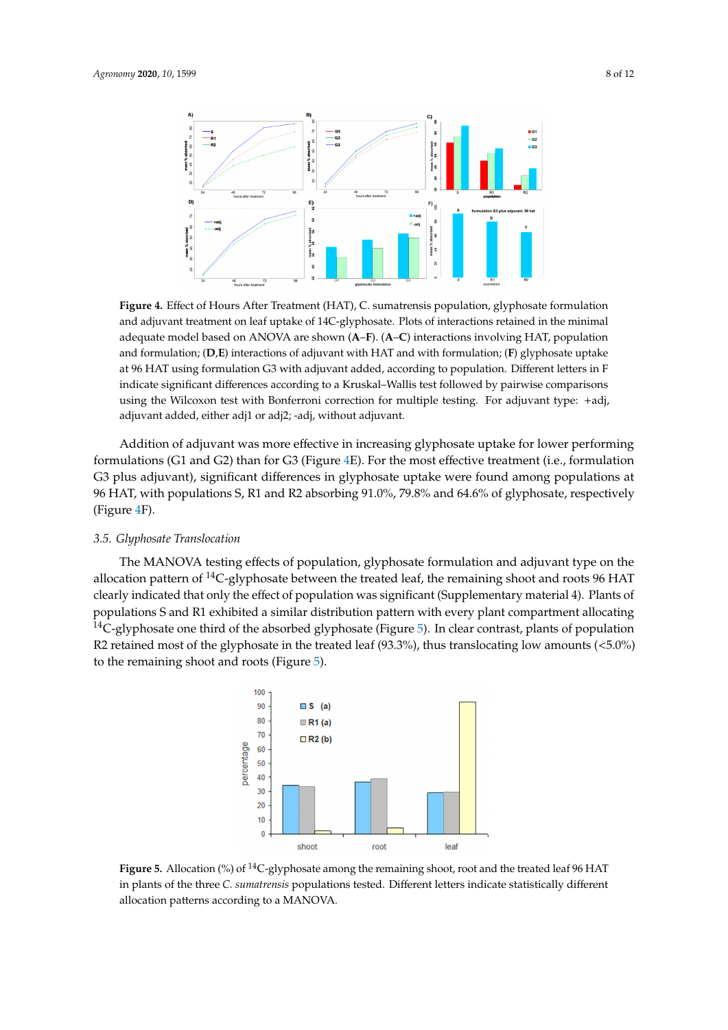<span id="page-7-0"></span>

**Figure 4.** Effect of Hours After Treatment (HAT), C. sumatrensis population, glyphosate formulation **Figure 4.** Effect of Hours After Treatment (HAT), C. sumatrensis population, glyphosate formulation and adjuvant treatment on leaf uptake of 14C-glyphosate. Plots of interactions retained in the minimal and adjuvant treatment on leaf uptake of 14C-glyphosate. Plots of interactions retained in the minimal adequate model based on ANOVA are shown (A–F). (A–C) interactions involving HAT, population and formulation; (**D**–**E**) interactions of adjuvant with HAT and with formulation; (**F**) glyphosate and formulation; (**D,E**) interactions of adjuvant with HAT and with formulation; (**F**) glyphosate uptake at 96 HAT using formulation G3 with adjuvant added, according to population. Different letters in F contributions using the Milcoxon testing  $K_{\text{max}}$  and  $K_{\text{max}}$  and  $\epsilon$  adjuvant  $\epsilon$  adjuvant  $\epsilon$ indicate significant differences according to a Kruskal–Wallis test followed by pairwise comparisons  $A_{\text{st}}$  significant effect of  $\alpha$  results in the  $\alpha$  results in higher leaf results in  $\alpha$ adjuvant added, either adj1 or adj2; -adj, without adjuvant. using the Wilcoxon test with Bonferroni correction for multiple testing. For adjuvant type: +adj,

over  $p$  and adjustable  $\mathcal{F}_{\mathcal{F}}$  (Figure 4B). However, the uptake response for the uptake response for the uptake response for the uptake response for the uptake response for the uptake response for the uptake respo Addition of adjuvant was more effective in increasing glyphosate uptake for lower performing formulations (G1 and G2) than for G3 (Figure [4E](#page-7-0)). For the most effective treatment (i.e., formulation  $T_{\rm tot}$  two tests significantly improved glyphosate uptake over all formulations and formulations and  $\sim$ G3 plus adjuvant), significant differences in glyphosate uptake were found among populations at 96 HAT, with populations S, R1 and R2 absorbing 91.0%, 79.8% and 64.6% of glyphosate, respectively  $\mathcal{L}$  and increasing glyphosate in increasing glyphosate uptake for lower performing glyphosate uptake for lower performing glyphosate up to  $\mathcal{L}$ (Figure [4F](#page-7-0)).

# *3.5. Glyphosate Translocation* **by and 71.6% and 64.6% and 64.6% of glyphosate**, respectively *and 64.6% and 64.6% and 64.6% of glyphosate* **Translocation <b>by and 7.6% of glyphosate**  $\mathbf{F}$

<span id="page-7-1"></span> $3.56 \times 10^{-4}$ allocation pattern of  $^{14}$ C-glyphosate between the treated leaf, the remaining shoot and roots 96 HAT clearly indicated that only the effect of population was significant (Supplementary material 4). Plants of clearly indicated that only the effect of population was significant (Supplementary material 4). Plants of populations S and R1 exhibited a similar distribution pattern with every plant compartment populations S and R1 exhibited a similar distribution pattern with every plant compartment allocating <sup>14</sup>C-glyphosate one third of the absorbed glyphosate (Figure [5\)](#page-7-1). In clear contrast, plants of population et of the glyphosate in the treated leaf  $(93.3\%)$  thus translocating low and R2 retained most of the glyphosate in the treated leaf (93.3%), thus translocating low amounts ( $<$ 5.0%) The MANOVA testing effects of population, glyphosate formulation and adjuvant type on the to the remaining shoot and roots (Figure [5\)](#page-7-1).



**Figure 5.** Allocation (%) of 14C-glyphosate among the remaining shoot, root and the treated leaf 96 **Figure 5.** Allocation (%) of <sup>14</sup>C-glyphosate among the remaining shoot, root and the treated leaf 96 HAT in plants of the three C. sumatrensis populations tested. Different letters indicate statistically different allocation patterns according to a MANOVA.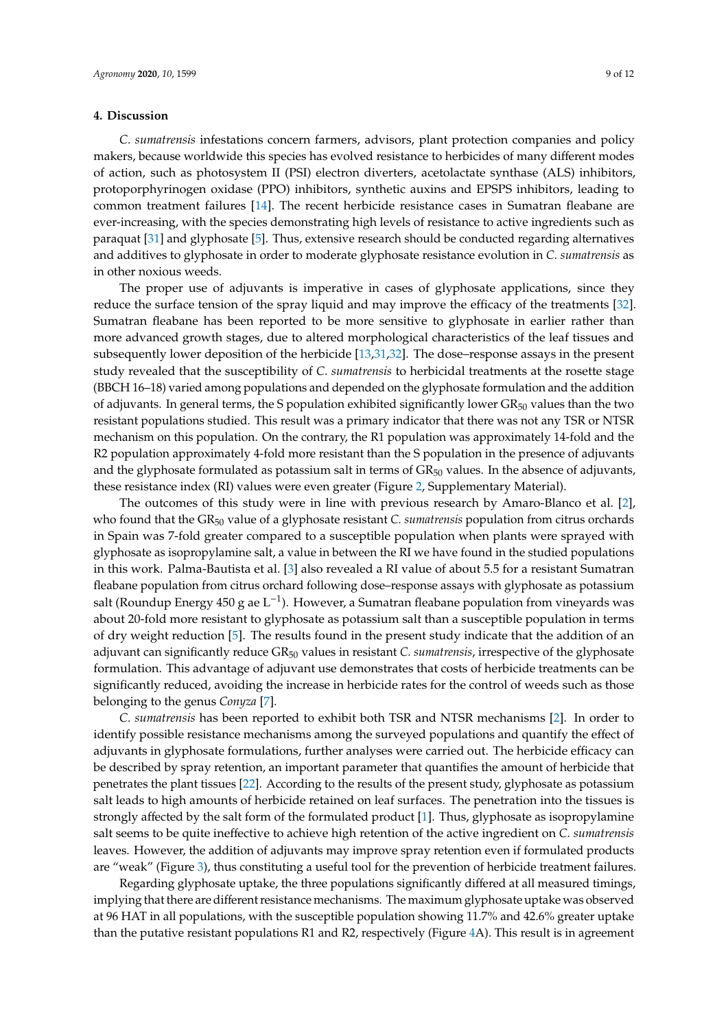# **4. Discussion**

*C. sumatrensis* infestations concern farmers, advisors, plant protection companies and policy makers, because worldwide this species has evolved resistance to herbicides of many different modes of action, such as photosystem II (PSI) electron diverters, acetolactate synthase (ALS) inhibitors, protoporphyrinogen oxidase (PPO) inhibitors, synthetic auxins and EPSPS inhibitors, leading to common treatment failures [\[14\]](#page-10-13). The recent herbicide resistance cases in Sumatran fleabane are ever-increasing, with the species demonstrating high levels of resistance to active ingredients such as paraquat [\[31\]](#page-11-11) and glyphosate [\[5\]](#page-10-3). Thus, extensive research should be conducted regarding alternatives and additives to glyphosate in order to moderate glyphosate resistance evolution in *C. sumatrensis* as in other noxious weeds.

The proper use of adjuvants is imperative in cases of glyphosate applications, since they reduce the surface tension of the spray liquid and may improve the efficacy of the treatments [\[32\]](#page-11-12). Sumatran fleabane has been reported to be more sensitive to glyphosate in earlier rather than more advanced growth stages, due to altered morphological characteristics of the leaf tissues and subsequently lower deposition of the herbicide [\[13,](#page-10-12)[31,](#page-11-11)[32\]](#page-11-12). The dose–response assays in the present study revealed that the susceptibility of *C. sumatrensis* to herbicidal treatments at the rosette stage (BBCH 16–18) varied among populations and depended on the glyphosate formulation and the addition of adjuvants. In general terms, the S population exhibited significantly lower  $GR_{50}$  values than the two resistant populations studied. This result was a primary indicator that there was not any TSR or NTSR mechanism on this population. On the contrary, the R1 population was approximately 14-fold and the R2 population approximately 4-fold more resistant than the S population in the presence of adjuvants and the glyphosate formulated as potassium salt in terms of  $GR_{50}$  values. In the absence of adjuvants, these resistance index (RI) values were even greater (Figure [2,](#page-5-0) Supplementary Material).

The outcomes of this study were in line with previous research by Amaro-Blanco et al. [\[2\]](#page-10-5), who found that the GR<sub>50</sub> value of a glyphosate resistant *C. sumatrensis* population from citrus orchards in Spain was 7-fold greater compared to a susceptible population when plants were sprayed with glyphosate as isopropylamine salt, a value in between the RI we have found in the studied populations in this work. Palma-Bautista et al. [\[3\]](#page-10-1) also revealed a RI value of about 5.5 for a resistant Sumatran fleabane population from citrus orchard following dose–response assays with glyphosate as potassium salt (Roundup Energy 450 g ae L−<sup>1</sup> ). However, a Sumatran fleabane population from vineyards was about 20-fold more resistant to glyphosate as potassium salt than a susceptible population in terms of dry weight reduction [\[5\]](#page-10-3). The results found in the present study indicate that the addition of an adjuvant can significantly reduce GR<sup>50</sup> values in resistant *C. sumatrensis*, irrespective of the glyphosate formulation. This advantage of adjuvant use demonstrates that costs of herbicide treatments can be significantly reduced, avoiding the increase in herbicide rates for the control of weeds such as those belonging to the genus *Conyza* [\[7\]](#page-10-6).

*C. sumatrensis* has been reported to exhibit both TSR and NTSR mechanisms [\[2\]](#page-10-5). In order to identify possible resistance mechanisms among the surveyed populations and quantify the effect of adjuvants in glyphosate formulations, further analyses were carried out. The herbicide efficacy can be described by spray retention, an important parameter that quantifies the amount of herbicide that penetrates the plant tissues [\[22\]](#page-11-2). According to the results of the present study, glyphosate as potassium salt leads to high amounts of herbicide retained on leaf surfaces. The penetration into the tissues is strongly affected by the salt form of the formulated product [\[1\]](#page-10-0). Thus, glyphosate as isopropylamine salt seems to be quite ineffective to achieve high retention of the active ingredient on *C. sumatrensis* leaves. However, the addition of adjuvants may improve spray retention even if formulated products are "weak" (Figure [3\)](#page-6-0), thus constituting a useful tool for the prevention of herbicide treatment failures.

Regarding glyphosate uptake, the three populations significantly differed at all measured timings, implying that there are different resistance mechanisms. The maximum glyphosate uptake was observed at 96 HAT in all populations, with the susceptible population showing 11.7% and 42.6% greater uptake than the putative resistant populations R1 and R2, respectively (Figure [4A](#page-7-0)). This result is in agreement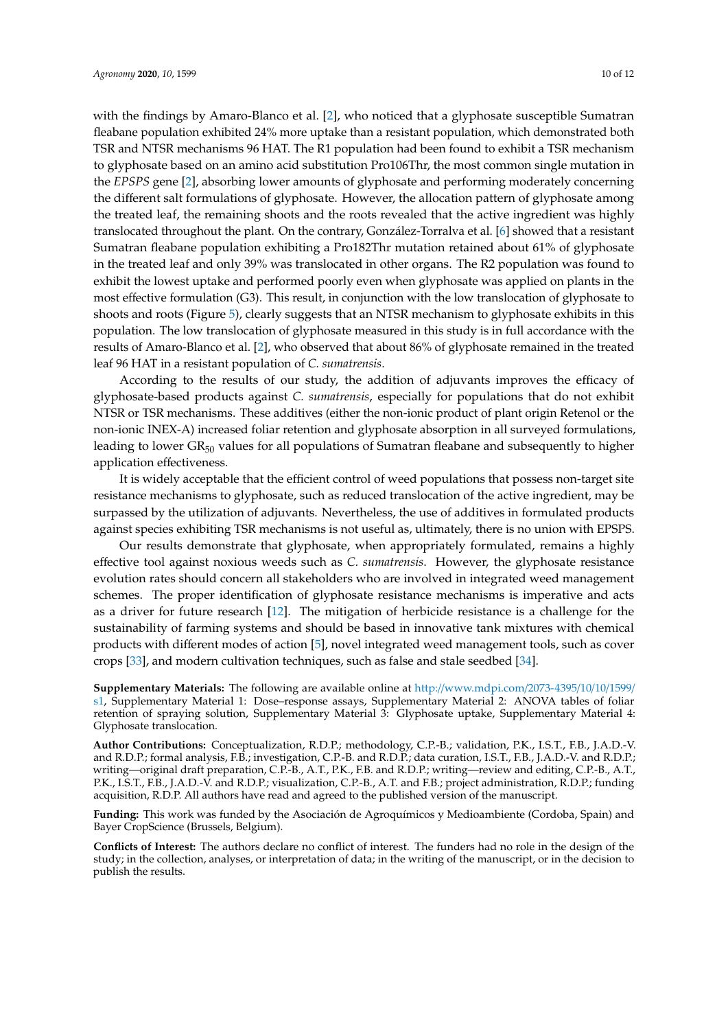with the findings by Amaro-Blanco et al. [\[2\]](#page-10-5), who noticed that a glyphosate susceptible Sumatran fleabane population exhibited 24% more uptake than a resistant population, which demonstrated both TSR and NTSR mechanisms 96 HAT. The R1 population had been found to exhibit a TSR mechanism to glyphosate based on an amino acid substitution Pro106Thr, the most common single mutation in the *EPSPS* gene [\[2\]](#page-10-5), absorbing lower amounts of glyphosate and performing moderately concerning the different salt formulations of glyphosate. However, the allocation pattern of glyphosate among the treated leaf, the remaining shoots and the roots revealed that the active ingredient was highly translocated throughout the plant. On the contrary, González-Torralva et al. [\[6\]](#page-10-4) showed that a resistant Sumatran fleabane population exhibiting a Pro182Thr mutation retained about 61% of glyphosate in the treated leaf and only 39% was translocated in other organs. The R2 population was found to exhibit the lowest uptake and performed poorly even when glyphosate was applied on plants in the most effective formulation (G3). This result, in conjunction with the low translocation of glyphosate to shoots and roots (Figure [5\)](#page-7-1), clearly suggests that an NTSR mechanism to glyphosate exhibits in this population. The low translocation of glyphosate measured in this study is in full accordance with the results of Amaro-Blanco et al. [\[2\]](#page-10-5), who observed that about 86% of glyphosate remained in the treated leaf 96 HAT in a resistant population of *C. sumatrensis*.

According to the results of our study, the addition of adjuvants improves the efficacy of glyphosate-based products against *C. sumatrensis*, especially for populations that do not exhibit NTSR or TSR mechanisms. These additives (either the non-ionic product of plant origin Retenol or the non-ionic INEX-A) increased foliar retention and glyphosate absorption in all surveyed formulations, leading to lower GR<sub>50</sub> values for all populations of Sumatran fleabane and subsequently to higher application effectiveness.

It is widely acceptable that the efficient control of weed populations that possess non-target site resistance mechanisms to glyphosate, such as reduced translocation of the active ingredient, may be surpassed by the utilization of adjuvants. Nevertheless, the use of additives in formulated products against species exhibiting TSR mechanisms is not useful as, ultimately, there is no union with EPSPS.

Our results demonstrate that glyphosate, when appropriately formulated, remains a highly effective tool against noxious weeds such as *C. sumatrensis*. However, the glyphosate resistance evolution rates should concern all stakeholders who are involved in integrated weed management schemes. The proper identification of glyphosate resistance mechanisms is imperative and acts as a driver for future research [\[12\]](#page-10-11). The mitigation of herbicide resistance is a challenge for the sustainability of farming systems and should be based in innovative tank mixtures with chemical products with different modes of action [\[5\]](#page-10-3), novel integrated weed management tools, such as cover crops [\[33\]](#page-11-13), and modern cultivation techniques, such as false and stale seedbed [\[34\]](#page-11-14).

**Supplementary Materials:** The following are available online at http://[www.mdpi.com](http://www.mdpi.com/2073-4395/10/10/1599/s1)/2073-4395/10/10/1599/ [s1,](http://www.mdpi.com/2073-4395/10/10/1599/s1) Supplementary Material 1: Dose–response assays, Supplementary Material 2: ANOVA tables of foliar retention of spraying solution, Supplementary Material 3: Glyphosate uptake, Supplementary Material 4: Glyphosate translocation.

**Author Contributions:** Conceptualization, R.D.P.; methodology, C.P.-B.; validation, P.K., I.S.T., F.B., J.A.D.-V. and R.D.P.; formal analysis, F.B.; investigation, C.P.-B. and R.D.P.; data curation, I.S.T., F.B., J.A.D.-V. and R.D.P.; writing—original draft preparation, C.P.-B., A.T., P.K., F.B. and R.D.P.; writing—review and editing, C.P.-B., A.T., P.K., I.S.T., F.B., J.A.D.-V. and R.D.P.; visualization, C.P.-B., A.T. and F.B.; project administration, R.D.P.; funding acquisition, R.D.P. All authors have read and agreed to the published version of the manuscript.

**Funding:** This work was funded by the Asociación de Agroquímicos y Medioambiente (Cordoba, Spain) and Bayer CropScience (Brussels, Belgium).

**Conflicts of Interest:** The authors declare no conflict of interest. The funders had no role in the design of the study; in the collection, analyses, or interpretation of data; in the writing of the manuscript, or in the decision to publish the results.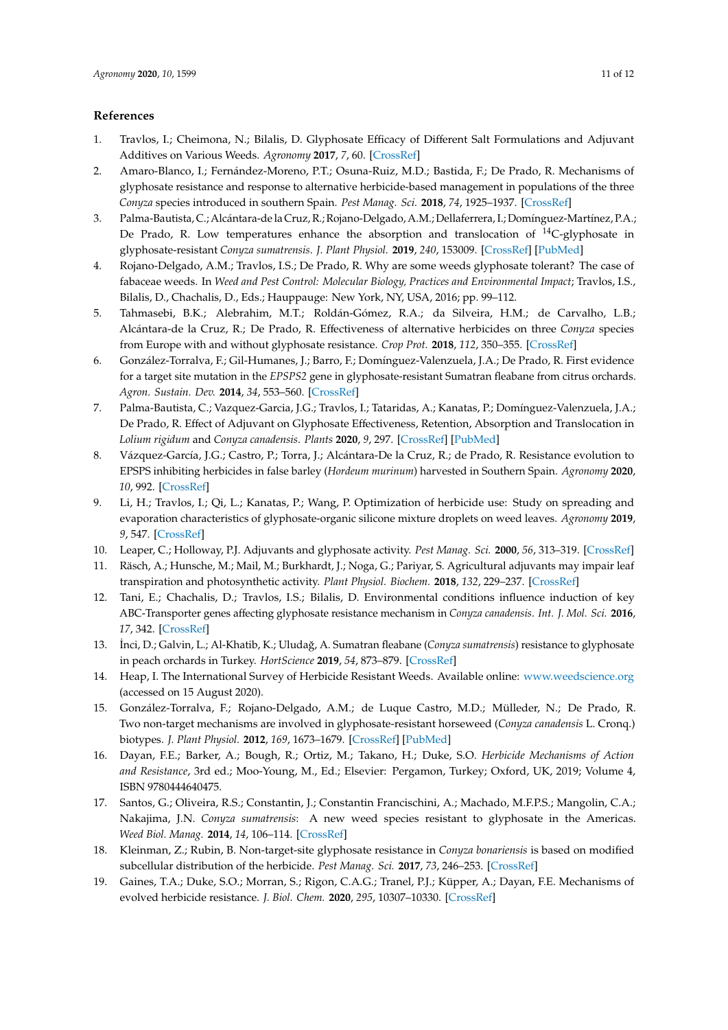# **References**

- <span id="page-10-0"></span>1. Travlos, I.; Cheimona, N.; Bilalis, D. Glyphosate Efficacy of Different Salt Formulations and Adjuvant Additives on Various Weeds. *Agronomy* **2017**, *7*, 60. [\[CrossRef\]](http://dx.doi.org/10.3390/agronomy7030060)
- <span id="page-10-5"></span>2. Amaro-Blanco, I.; Fernández-Moreno, P.T.; Osuna-Ruiz, M.D.; Bastida, F.; De Prado, R. Mechanisms of glyphosate resistance and response to alternative herbicide-based management in populations of the three *Conyza* species introduced in southern Spain. *Pest Manag. Sci.* **2018**, *74*, 1925–1937. [\[CrossRef\]](http://dx.doi.org/10.1002/ps.4896)
- <span id="page-10-1"></span>3. Palma-Bautista, C.; Alcántara-de la Cruz, R.; Rojano-Delgado, A.M.; Dellaferrera, I.; Domínguez-Martínez, P.A.; De Prado, R. Low temperatures enhance the absorption and translocation of  $^{14}$ C-glyphosate in glyphosate-resistant *Conyza sumatrensis*. *J. Plant Physiol.* **2019**, *240*, 153009. [\[CrossRef\]](http://dx.doi.org/10.1016/j.jplph.2019.153009) [\[PubMed\]](http://www.ncbi.nlm.nih.gov/pubmed/31330417)
- <span id="page-10-2"></span>4. Rojano-Delgado, A.M.; Travlos, I.S.; De Prado, R. Why are some weeds glyphosate tolerant? The case of fabaceae weeds. In *Weed and Pest Control: Molecular Biology, Practices and Environmental Impact*; Travlos, I.S., Bilalis, D., Chachalis, D., Eds.; Hauppauge: New York, NY, USA, 2016; pp. 99–112.
- <span id="page-10-3"></span>5. Tahmasebi, B.K.; Alebrahim, M.T.; Roldán-Gómez, R.A.; da Silveira, H.M.; de Carvalho, L.B.; Alcántara-de la Cruz, R.; De Prado, R. Effectiveness of alternative herbicides on three *Conyza* species from Europe with and without glyphosate resistance. *Crop Prot.* **2018**, *112*, 350–355. [\[CrossRef\]](http://dx.doi.org/10.1016/j.cropro.2018.06.021)
- <span id="page-10-4"></span>6. González-Torralva, F.; Gil-Humanes, J.; Barro, F.; Domínguez-Valenzuela, J.A.; De Prado, R. First evidence for a target site mutation in the *EPSPS2* gene in glyphosate-resistant Sumatran fleabane from citrus orchards. *Agron. Sustain. Dev.* **2014**, *34*, 553–560. [\[CrossRef\]](http://dx.doi.org/10.1007/s13593-013-0163-8)
- <span id="page-10-6"></span>7. Palma-Bautista, C.; Vazquez-Garcia, J.G.; Travlos, I.; Tataridas, A.; Kanatas, P.; Domínguez-Valenzuela, J.A.; De Prado, R. Effect of Adjuvant on Glyphosate Effectiveness, Retention, Absorption and Translocation in *Lolium rigidum* and *Conyza canadensis*. *Plants* **2020**, *9*, 297. [\[CrossRef\]](http://dx.doi.org/10.3390/plants9030297) [\[PubMed\]](http://www.ncbi.nlm.nih.gov/pubmed/32121525)
- <span id="page-10-7"></span>8. Vázquez-García, J.G.; Castro, P.; Torra, J.; Alcántara-De la Cruz, R.; de Prado, R. Resistance evolution to EPSPS inhibiting herbicides in false barley (*Hordeum murinum*) harvested in Southern Spain. *Agronomy* **2020**, *10*, 992. [\[CrossRef\]](http://dx.doi.org/10.3390/agronomy10070992)
- <span id="page-10-8"></span>9. Li, H.; Travlos, I.; Qi, L.; Kanatas, P.; Wang, P. Optimization of herbicide use: Study on spreading and evaporation characteristics of glyphosate-organic silicone mixture droplets on weed leaves. *Agronomy* **2019**, *9*, 547. [\[CrossRef\]](http://dx.doi.org/10.3390/agronomy9090547)
- <span id="page-10-9"></span>10. Leaper, C.; Holloway, P.J. Adjuvants and glyphosate activity. *Pest Manag. Sci.* **2000**, *56*, 313–319. [\[CrossRef\]](http://dx.doi.org/10.1002/(SICI)1526-4998(200004)56:4<313::AID-PS147>3.0.CO;2-3)
- <span id="page-10-10"></span>11. Räsch, A.; Hunsche, M.; Mail, M.; Burkhardt, J.; Noga, G.; Pariyar, S. Agricultural adjuvants may impair leaf transpiration and photosynthetic activity. *Plant Physiol. Biochem.* **2018**, *132*, 229–237. [\[CrossRef\]](http://dx.doi.org/10.1016/j.plaphy.2018.08.042)
- <span id="page-10-11"></span>12. Tani, E.; Chachalis, D.; Travlos, I.S.; Bilalis, D. Environmental conditions influence induction of key ABC-Transporter genes affecting glyphosate resistance mechanism in *Conyza canadensis*. *Int. J. Mol. Sci.* **2016**, *17*, 342. [\[CrossRef\]](http://dx.doi.org/10.3390/ijms17040342)
- <span id="page-10-12"></span>13. ˙Inci, D.; Galvin, L.; Al-Khatib, K.; Uluda ˘g, A. Sumatran fleabane (*Conyza sumatrensis*) resistance to glyphosate in peach orchards in Turkey. *HortScience* **2019**, *54*, 873–879. [\[CrossRef\]](http://dx.doi.org/10.21273/HORTSCI13749-18)
- <span id="page-10-13"></span>14. Heap, I. The International Survey of Herbicide Resistant Weeds. Available online: <www.weedscience.org> (accessed on 15 August 2020).
- <span id="page-10-14"></span>15. González-Torralva, F.; Rojano-Delgado, A.M.; de Luque Castro, M.D.; Mülleder, N.; De Prado, R. Two non-target mechanisms are involved in glyphosate-resistant horseweed (*Conyza canadensis* L. Cronq.) biotypes. *J. Plant Physiol.* **2012**, *169*, 1673–1679. [\[CrossRef\]](http://dx.doi.org/10.1016/j.jplph.2012.06.014) [\[PubMed\]](http://www.ncbi.nlm.nih.gov/pubmed/22841626)
- <span id="page-10-15"></span>16. Dayan, F.E.; Barker, A.; Bough, R.; Ortiz, M.; Takano, H.; Duke, S.O. *Herbicide Mechanisms of Action and Resistance*, 3rd ed.; Moo-Young, M., Ed.; Elsevier: Pergamon, Turkey; Oxford, UK, 2019; Volume 4, ISBN 9780444640475.
- <span id="page-10-16"></span>17. Santos, G.; Oliveira, R.S.; Constantin, J.; Constantin Francischini, A.; Machado, M.F.P.S.; Mangolin, C.A.; Nakajima, J.N. *Conyza sumatrensis*: A new weed species resistant to glyphosate in the Americas. *Weed Biol. Manag.* **2014**, *14*, 106–114. [\[CrossRef\]](http://dx.doi.org/10.1111/wbm.12037)
- <span id="page-10-18"></span>18. Kleinman, Z.; Rubin, B. Non-target-site glyphosate resistance in *Conyza bonariensis* is based on modified subcellular distribution of the herbicide. *Pest Manag. Sci.* **2017**, *73*, 246–253. [\[CrossRef\]](http://dx.doi.org/10.1002/ps.4293)
- <span id="page-10-17"></span>19. Gaines, T.A.; Duke, S.O.; Morran, S.; Rigon, C.A.G.; Tranel, P.J.; Küpper, A.; Dayan, F.E. Mechanisms of evolved herbicide resistance. *J. Biol. Chem.* **2020**, *295*, 10307–10330. [\[CrossRef\]](http://dx.doi.org/10.1074/jbc.REV120.013572)